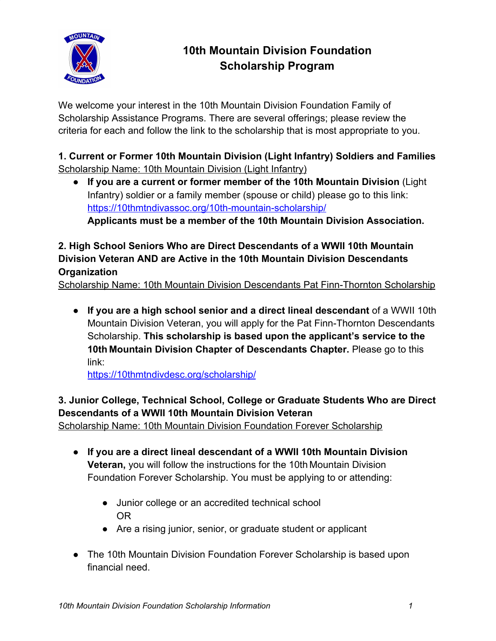

# **10th Mountain Division Foundation Scholarship Program**

We welcome your interest in the 10th Mountain Division Foundation Family of Scholarship Assistance Programs. There are several offerings; please review the criteria for each and follow the link to the scholarship that is most appropriate to you.

**1. Current or Former 10th Mountain Division (Light Infantry) Soldiers and Families** Scholarship Name: 10th Mountain Division (Light Infantry)

● **If you are a current or former member of the 10th Mountain Division** (Light Infantry) soldier or a family member (spouse or child) please go to this link: https://10thmtndivassoc.org/10th-mountain-scholarship/ **Applicants must be a member of the 10th Mountain Division Association.**

# **2. High School Seniors Who are Direct Descendants of a WWII 10th Mountain Division Veteran AND are Active in the 10th Mountain Division Descendants Organization**

Scholarship Name: 10th Mountain Division Descendants Pat Finn-Thornton Scholarship

● **If you are a high school senior and a direct lineal descendant** of a WWII 10th Mountain Division Veteran, you will apply for the Pat Finn-Thornton Descendants Scholarship. **This scholarship is based upon the applicant's service to the 10th Mountain Division Chapter of Descendants Chapter.** Please go to this link:

https://10thmtndivdesc.org/scholarship/

# **3. Junior College, Technical School, College or Graduate Students Who are Direct Descendants of a WWII 10th Mountain Division Veteran**

Scholarship Name: 10th Mountain Division Foundation Forever Scholarship

- **If you are a direct lineal descendant of a WWII 10th Mountain Division Veteran,** you will follow the instructions for the 10th Mountain Division Foundation Forever Scholarship. You must be applying to or attending:
	- Junior college or an accredited technical school OR
	- Are a rising junior, senior, or graduate student or applicant
- The 10th Mountain Division Foundation Forever Scholarship is based upon financial need.